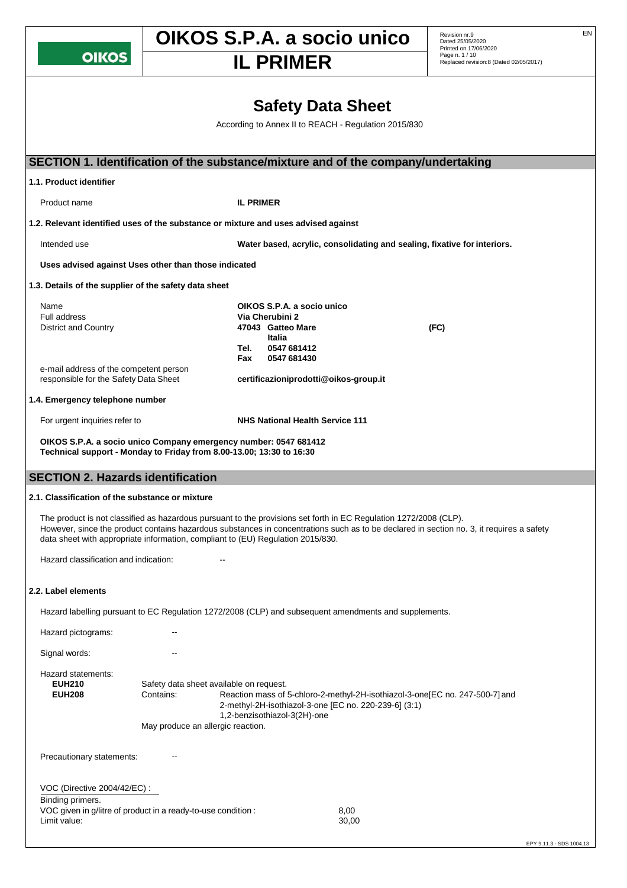**OIKOS** 

# **OIKOS S.P.A. a socio unico** Revision nr.9

Replaced revision:8 (Dated 02/05/2017) **IL PRIMER**

Dated 25/05/2020 Printed on 17/06/2020 Page n. 1 / 10

# **Safety Data Sheet**

According to Annex II to REACH - Regulation 2015/830

| SECTION 1. Identification of the substance/mixture and of the company/undertaking                                                                                                                    |                                                                                           |                  |                                                                                                            |                                                       |                                                                                                                                          |  |
|------------------------------------------------------------------------------------------------------------------------------------------------------------------------------------------------------|-------------------------------------------------------------------------------------------|------------------|------------------------------------------------------------------------------------------------------------|-------------------------------------------------------|------------------------------------------------------------------------------------------------------------------------------------------|--|
| 1.1. Product identifier                                                                                                                                                                              |                                                                                           |                  |                                                                                                            |                                                       |                                                                                                                                          |  |
| Product name                                                                                                                                                                                         |                                                                                           | <b>IL PRIMER</b> |                                                                                                            |                                                       |                                                                                                                                          |  |
| 1.2. Relevant identified uses of the substance or mixture and uses advised against                                                                                                                   |                                                                                           |                  |                                                                                                            |                                                       |                                                                                                                                          |  |
| Intended use                                                                                                                                                                                         |                                                                                           |                  |                                                                                                            |                                                       | Water based, acrylic, consolidating and sealing, fixative for interiors.                                                                 |  |
| Uses advised against Uses other than those indicated                                                                                                                                                 |                                                                                           |                  |                                                                                                            |                                                       |                                                                                                                                          |  |
| 1.3. Details of the supplier of the safety data sheet                                                                                                                                                |                                                                                           |                  |                                                                                                            |                                                       |                                                                                                                                          |  |
| Name<br>Full address<br><b>District and Country</b>                                                                                                                                                  |                                                                                           | Tel.<br>Fax      | OIKOS S.P.A. a socio unico<br>Via Cherubini 2<br>47043 Gatteo Mare<br>Italia<br>0547 681412<br>0547 681430 |                                                       | (FC)                                                                                                                                     |  |
| e-mail address of the competent person<br>responsible for the Safety Data Sheet                                                                                                                      |                                                                                           |                  | certificazioniprodotti@oikos-group.it                                                                      |                                                       |                                                                                                                                          |  |
| 1.4. Emergency telephone number                                                                                                                                                                      |                                                                                           |                  |                                                                                                            |                                                       |                                                                                                                                          |  |
| For urgent inquiries refer to                                                                                                                                                                        |                                                                                           |                  | <b>NHS National Health Service 111</b>                                                                     |                                                       |                                                                                                                                          |  |
| OIKOS S.P.A. a socio unico Company emergency number: 0547 681412<br>Technical support - Monday to Friday from 8.00-13.00; 13:30 to 16:30                                                             |                                                                                           |                  |                                                                                                            |                                                       |                                                                                                                                          |  |
| <b>SECTION 2. Hazards identification</b>                                                                                                                                                             |                                                                                           |                  |                                                                                                            |                                                       |                                                                                                                                          |  |
| 2.1. Classification of the substance or mixture                                                                                                                                                      |                                                                                           |                  |                                                                                                            |                                                       |                                                                                                                                          |  |
| The product is not classified as hazardous pursuant to the provisions set forth in EC Regulation 1272/2008 (CLP).<br>data sheet with appropriate information, compliant to (EU) Regulation 2015/830. |                                                                                           |                  |                                                                                                            |                                                       | However, since the product contains hazardous substances in concentrations such as to be declared in section no. 3, it requires a safety |  |
| Hazard classification and indication:                                                                                                                                                                |                                                                                           |                  |                                                                                                            |                                                       |                                                                                                                                          |  |
| 2.2. Label elements                                                                                                                                                                                  |                                                                                           |                  |                                                                                                            |                                                       |                                                                                                                                          |  |
| Hazard labelling pursuant to EC Regulation 1272/2008 (CLP) and subsequent amendments and supplements.                                                                                                |                                                                                           |                  |                                                                                                            |                                                       |                                                                                                                                          |  |
| Hazard pictograms:                                                                                                                                                                                   |                                                                                           |                  |                                                                                                            |                                                       |                                                                                                                                          |  |
| Signal words:                                                                                                                                                                                        |                                                                                           |                  |                                                                                                            |                                                       |                                                                                                                                          |  |
| Hazard statements:<br><b>EUH210</b><br><b>EUH208</b>                                                                                                                                                 | Safety data sheet available on request.<br>Contains:<br>May produce an allergic reaction. |                  | 1,2-benzisothiazol-3(2H)-one                                                                               | 2-methyl-2H-isothiazol-3-one [EC no. 220-239-6] (3:1) | Reaction mass of 5-chloro-2-methyl-2H-isothiazol-3-one[EC no. 247-500-7] and                                                             |  |
| Precautionary statements:                                                                                                                                                                            |                                                                                           |                  |                                                                                                            |                                                       |                                                                                                                                          |  |
| VOC (Directive 2004/42/EC) :<br>Binding primers.<br>VOC given in g/litre of product in a ready-to-use condition :<br>Limit value:                                                                    |                                                                                           |                  |                                                                                                            | 8,00<br>30,00                                         |                                                                                                                                          |  |
|                                                                                                                                                                                                      |                                                                                           |                  |                                                                                                            |                                                       |                                                                                                                                          |  |

EPY 9.11.3 - SDS 1004.13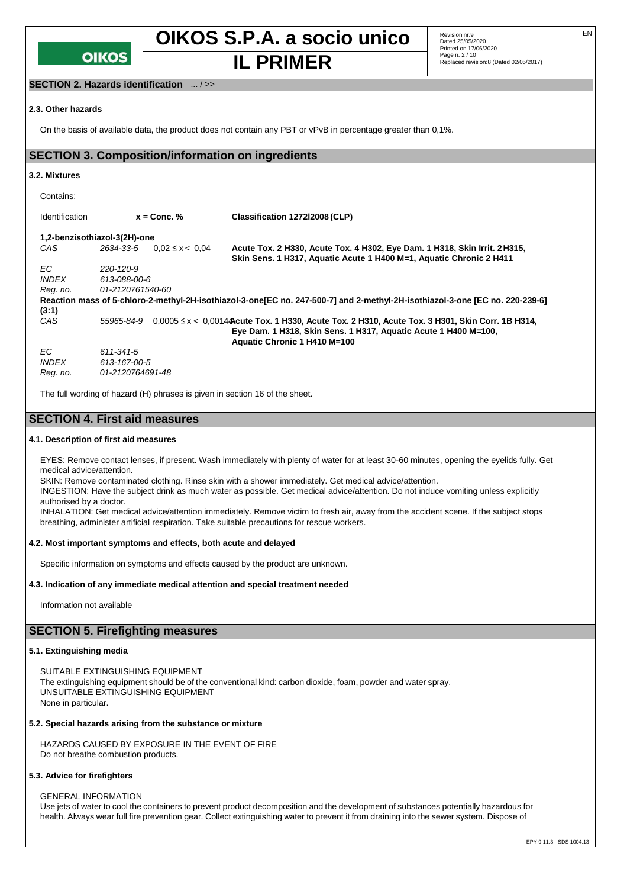

Revision nr.9<br>Dated 25/05/2020 Printed on 17/06/2020 Page n. 2 / 10 **IL PRIMER** Replaced revision:8 (Dated 02/05/2017)

## **SECTION 2. Hazards identification** ... / >>

#### **2.3. Other hazards**

On the basis of available data, the product does not contain any PBT or vPvB in percentage greater than 0,1%.

# **SECTION 3. Composition/information on ingredients**

#### **3.2. Mixtures**

| Contains:             |                                  |                                                                                                                                                                                                         |
|-----------------------|----------------------------------|---------------------------------------------------------------------------------------------------------------------------------------------------------------------------------------------------------|
| <b>Identification</b> | $x =$ Conc. %                    | Classification 127212008 (CLP)                                                                                                                                                                          |
|                       | 1,2-benzisothiazol-3(2H)-one     |                                                                                                                                                                                                         |
| CAS                   | 2634-33-5<br>$0.02 \le x < 0.04$ | Acute Tox. 2 H330, Acute Tox. 4 H302, Eye Dam. 1 H318, Skin Irrit. 2 H315,<br>Skin Sens. 1 H317, Aquatic Acute 1 H400 M=1, Aquatic Chronic 2 H411                                                       |
| EC.                   | 220-120-9                        |                                                                                                                                                                                                         |
| <i><b>INDEX</b></i>   | 613-088-00-6                     |                                                                                                                                                                                                         |
| Reg. no.              | 01-2120761540-60                 |                                                                                                                                                                                                         |
|                       |                                  | Reaction mass of 5-chloro-2-methyl-2H-isothiazol-3-one [EC no. 247-500-7] and 2-methyl-2H-isothiazol-3-one [EC no. 220-239-6]                                                                           |
| (3:1)                 |                                  |                                                                                                                                                                                                         |
| CAS                   | 55965-84-9                       | $0.0005 \le x < 0.0014$ Acute Tox. 1 H330, Acute Tox. 2 H310, Acute Tox. 3 H301, Skin Corr. 1B H314,<br>Eye Dam. 1 H318, Skin Sens. 1 H317, Aquatic Acute 1 H400 M=100,<br>Aquatic Chronic 1 H410 M=100 |
| EC.                   | 611-341-5                        |                                                                                                                                                                                                         |
| <i><b>INDEX</b></i>   | 613-167-00-5                     |                                                                                                                                                                                                         |
| Reg. no.              | 01-2120764691-48                 |                                                                                                                                                                                                         |

The full wording of hazard (H) phrases is given in section 16 of the sheet.

# **SECTION 4. First aid measures**

#### **4.1. Description of first aid measures**

EYES: Remove contact lenses, if present. Wash immediately with plenty of water for at least 30-60 minutes, opening the eyelids fully. Get medical advice/attention.

SKIN: Remove contaminated clothing. Rinse skin with a shower immediately. Get medical advice/attention.

INGESTION: Have the subject drink as much water as possible. Get medical advice/attention. Do not induce vomiting unless explicitly authorised by a doctor.

INHALATION: Get medical advice/attention immediately. Remove victim to fresh air, away from the accident scene. If the subject stops breathing, administer artificial respiration. Take suitable precautions for rescue workers.

#### **4.2. Most important symptoms and effects, both acute and delayed**

Specific information on symptoms and effects caused by the product are unknown.

#### **4.3. Indication of any immediate medical attention and special treatment needed**

Information not available

# **SECTION 5. Firefighting measures**

#### **5.1. Extinguishing media**

SUITABLE EXTINGUISHING EQUIPMENT The extinguishing equipment should be of the conventional kind: carbon dioxide, foam, powder and water spray. UNSUITABLE EXTINGUISHING EQUIPMENT None in particular.

#### **5.2. Special hazards arising from the substance or mixture**

HAZARDS CAUSED BY EXPOSURE IN THE EVENT OF FIRE Do not breathe combustion products.

#### **5.3. Advice for firefighters**

GENERAL INFORMATION

Use jets of water to cool the containers to prevent product decomposition and the development of substances potentially hazardous for health. Always wear full fire prevention gear. Collect extinguishing water to prevent it from draining into the sewer system. Dispose of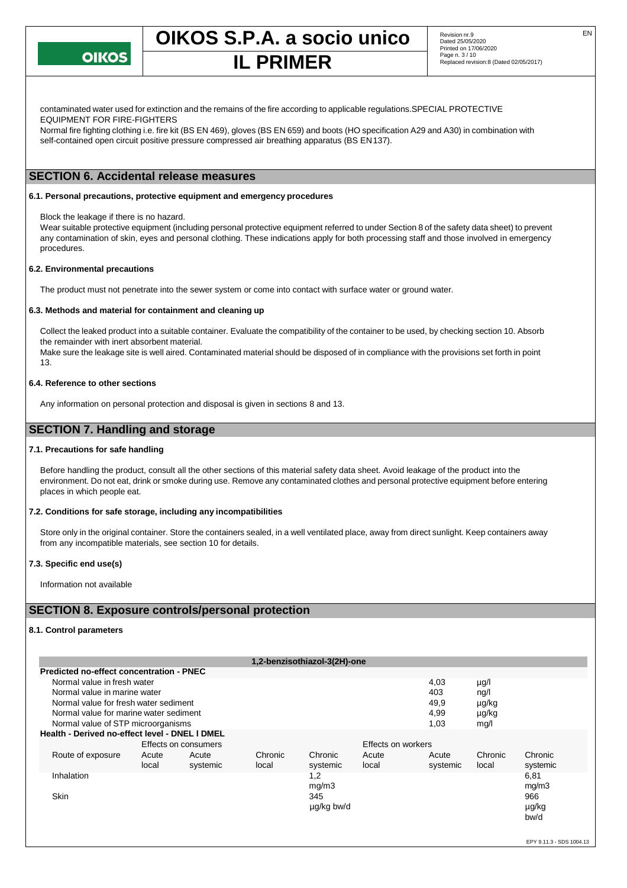

# **IL PRIMER**

contaminated water used for extinction and the remains of the fire according to applicable regulations.SPECIAL PROTECTIVE EQUIPMENT FOR FIRE-FIGHTERS

Normal fire fighting clothing i.e. fire kit (BS EN 469), gloves (BS EN 659) and boots (HO specification A29 and A30) in combination with self-contained open circuit positive pressure compressed air breathing apparatus (BS EN137).

# **SECTION 6. Accidental release measures**

#### **6.1. Personal precautions, protective equipment and emergency procedures**

Block the leakage if there is no hazard.

Wear suitable protective equipment (including personal protective equipment referred to under Section 8 of the safety data sheet) to prevent any contamination of skin, eyes and personal clothing. These indications apply for both processing staff and those involved in emergency procedures.

#### **6.2. Environmental precautions**

The product must not penetrate into the sewer system or come into contact with surface water or ground water.

#### **6.3. Methods and material for containment and cleaning up**

Collect the leaked product into a suitable container. Evaluate the compatibility of the container to be used, by checking section 10. Absorb the remainder with inert absorbent material.

Make sure the leakage site is well aired. Contaminated material should be disposed of in compliance with the provisions set forth in point 13.

#### **6.4. Reference to other sections**

Any information on personal protection and disposal is given in sections 8 and 13.

# **SECTION 7. Handling and storage**

#### **7.1. Precautions for safe handling**

Before handling the product, consult all the other sections of this material safety data sheet. Avoid leakage of the product into the environment. Do not eat, drink or smoke during use. Remove any contaminated clothes and personal protective equipment before entering places in which people eat.

#### **7.2. Conditions for safe storage, including any incompatibilities**

Store only in the original container. Store the containers sealed, in a well ventilated place, away from direct sunlight. Keep containers away from any incompatible materials, see section 10 for details.

#### **7.3. Specific end use(s)**

Information not available

# **SECTION 8. Exposure controls/personal protection**

## **8.1. Control parameters**

|                                                 |                                                |                      |         | 1,2-benzisothiazol-3(2H)-one |                    |          |         |          |
|-------------------------------------------------|------------------------------------------------|----------------------|---------|------------------------------|--------------------|----------|---------|----------|
| <b>Predicted no-effect concentration - PNEC</b> |                                                |                      |         |                              |                    |          |         |          |
| Normal value in fresh water<br>4,03<br>µg/l     |                                                |                      |         |                              |                    |          |         |          |
| Normal value in marine water                    |                                                |                      |         |                              |                    | 403      | ng/l    |          |
| Normal value for fresh water sediment           |                                                |                      |         |                              |                    | 49,9     | µg/kg   |          |
|                                                 | Normal value for marine water sediment         |                      |         |                              |                    | 4,99     | µg/kg   |          |
| Normal value of STP microorganisms              |                                                |                      |         |                              | 1,03               | mg/l     |         |          |
|                                                 | Health - Derived no-effect level - DNEL I DMEL |                      |         |                              |                    |          |         |          |
|                                                 |                                                | Effects on consumers |         |                              | Effects on workers |          |         |          |
| Route of exposure                               | Acute                                          | Acute                | Chronic | Chronic                      | Acute              | Acute    | Chronic | Chronic  |
|                                                 | local                                          | systemic             | local   | systemic                     | local              | systemic | local   | systemic |
| Inhalation                                      |                                                |                      |         | 1,2                          |                    |          |         | 6,81     |
|                                                 |                                                |                      |         | mg/m3                        |                    |          |         | mg/m3    |
| <b>Skin</b>                                     |                                                |                      |         | 345                          |                    |          |         | 966      |
|                                                 |                                                |                      |         | µg/kg bw/d                   |                    |          |         | µg/kg    |
|                                                 |                                                |                      |         |                              |                    |          |         | bw/d     |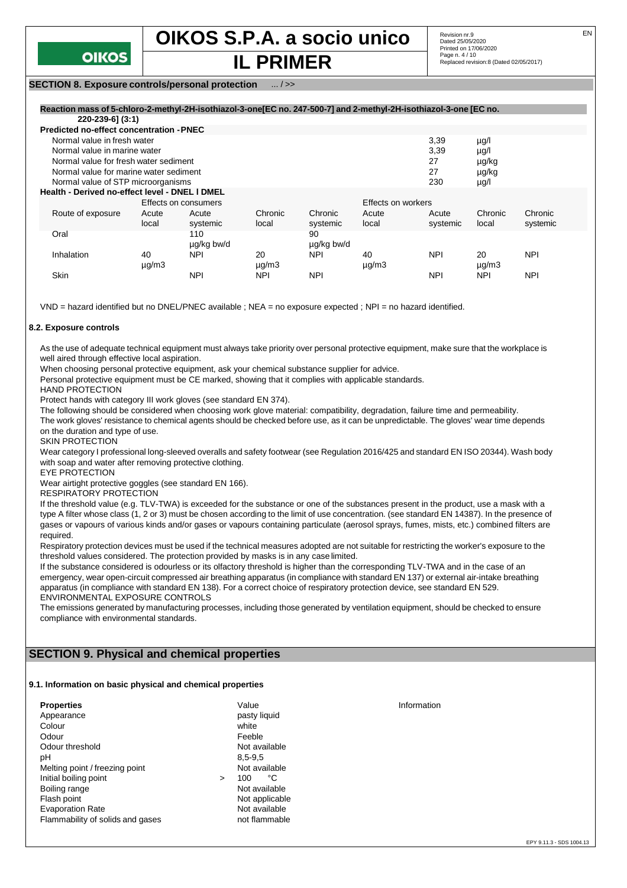

# **IL PRIMER**

## **SECTION 8. Exposure controls/personal protection** ... / >>

| Reaction mass of 5-chloro-2-methyl-2H-isothiazol-3-one[EC no. 247-500-7] and 2-methyl-2H-isothiazol-3-one [EC no. |                                                        |                      |               |            |                    |            |               |            |
|-------------------------------------------------------------------------------------------------------------------|--------------------------------------------------------|----------------------|---------------|------------|--------------------|------------|---------------|------------|
| 220-239-6] (3:1)                                                                                                  |                                                        |                      |               |            |                    |            |               |            |
| <b>Predicted no-effect concentration - PNEC</b>                                                                   |                                                        |                      |               |            |                    |            |               |            |
| Normal value in fresh water                                                                                       |                                                        |                      |               |            |                    | 3,39       | $\mu$ g/l     |            |
| Normal value in marine water                                                                                      |                                                        |                      |               |            |                    | 3,39       | $\mu$ g/l     |            |
| Normal value for fresh water sediment<br>27<br>µg/kg                                                              |                                                        |                      |               |            |                    |            |               |            |
| Normal value for marine water sediment                                                                            |                                                        |                      |               |            |                    | 27         | µg/kg         |            |
|                                                                                                                   | 230<br>Normal value of STP microorganisms<br>$\mu$ g/l |                      |               |            |                    |            |               |            |
| Health - Derived no-effect level - DNEL I DMEL                                                                    |                                                        |                      |               |            |                    |            |               |            |
|                                                                                                                   |                                                        | Effects on consumers |               |            | Effects on workers |            |               |            |
| Route of exposure                                                                                                 | Acute                                                  | Acute                | Chronic       | Chronic    | Acute              | Acute      | Chronic       | Chronic    |
|                                                                                                                   | local                                                  | systemic             | local         | systemic   | local              | systemic   | local         | systemic   |
| Oral                                                                                                              |                                                        | 110                  |               | 90         |                    |            |               |            |
|                                                                                                                   |                                                        | ug/kg bw/d           |               | ug/kg bw/d |                    |            |               |            |
| Inhalation                                                                                                        | 40                                                     | <b>NPI</b>           | 20            | <b>NPI</b> | 40                 | <b>NPI</b> | 20            | <b>NPI</b> |
|                                                                                                                   | $\mu$ g/m $3$                                          |                      | $\mu$ g/m $3$ |            | $\mu$ g/m $3$      |            | $\mu$ g/m $3$ |            |
| Skin                                                                                                              |                                                        | <b>NPI</b>           | <b>NPI</b>    | <b>NPI</b> |                    | <b>NPI</b> | <b>NPI</b>    | <b>NPI</b> |

VND = hazard identified but no DNEL/PNEC available ; NEA = no exposure expected ; NPI = no hazard identified.

#### **8.2. Exposure controls**

As the use of adequate technical equipment must always take priority over personal protective equipment, make sure that the workplace is well aired through effective local aspiration.

When choosing personal protective equipment, ask your chemical substance supplier for advice.

Personal protective equipment must be CE marked, showing that it complies with applicable standards.

HAND PROTECTION

Protect hands with category III work gloves (see standard EN 374).

The following should be considered when choosing work glove material: compatibility, degradation, failure time and permeability.

The work gloves' resistance to chemical agents should be checked before use, as it can be unpredictable. The gloves' wear time depends on the duration and type of use.

SKIN PROTECTION

Wear category I professional long-sleeved overalls and safety footwear (see Regulation 2016/425 and standard EN ISO 20344). Wash body with soap and water after removing protective clothing.

EYE PROTECTION

Wear airtight protective goggles (see standard EN 166).

RESPIRATORY PROTECTION

If the threshold value (e.g. TLV-TWA) is exceeded for the substance or one of the substances present in the product, use a mask with a type A filter whose class (1, 2 or 3) must be chosen according to the limit of use concentration. (see standard EN 14387). In the presence of gases or vapours of various kinds and/or gases or vapours containing particulate (aerosol sprays, fumes, mists, etc.) combined filters are required.

Respiratory protection devices must be used if the technical measures adopted are not suitable for restricting the worker's exposure to the threshold values considered. The protection provided by masks is in any case limited.

If the substance considered is odourless or its olfactory threshold is higher than the corresponding TLV-TWA and in the case of an emergency, wear open-circuit compressed air breathing apparatus (in compliance with standard EN 137) or external air-intake breathing apparatus (in compliance with standard EN 138). For a correct choice of respiratory protection device, see standard EN 529. ENVIRONMENTAL EXPOSURE CONTROLS

The emissions generated by manufacturing processes, including those generated by ventilation equipment, should be checked to ensure compliance with environmental standards.

# **SECTION 9. Physical and chemical properties**

#### **9.1. Information on basic physical and chemical properties**

| <b>Properties</b>                |        | Value          | Information |
|----------------------------------|--------|----------------|-------------|
| Appearance                       |        | pasty liquid   |             |
| Colour                           |        | white          |             |
| Odour                            |        | Feeble         |             |
| Odour threshold                  |        | Not available  |             |
| рH                               |        | $8.5 - 9.5$    |             |
| Melting point / freezing point   |        | Not available  |             |
| Initial boiling point            | $\geq$ | °C<br>100      |             |
| Boiling range                    |        | Not available  |             |
| Flash point                      |        | Not applicable |             |
| <b>Evaporation Rate</b>          |        | Not available  |             |
| Flammability of solids and gases |        | not flammable  |             |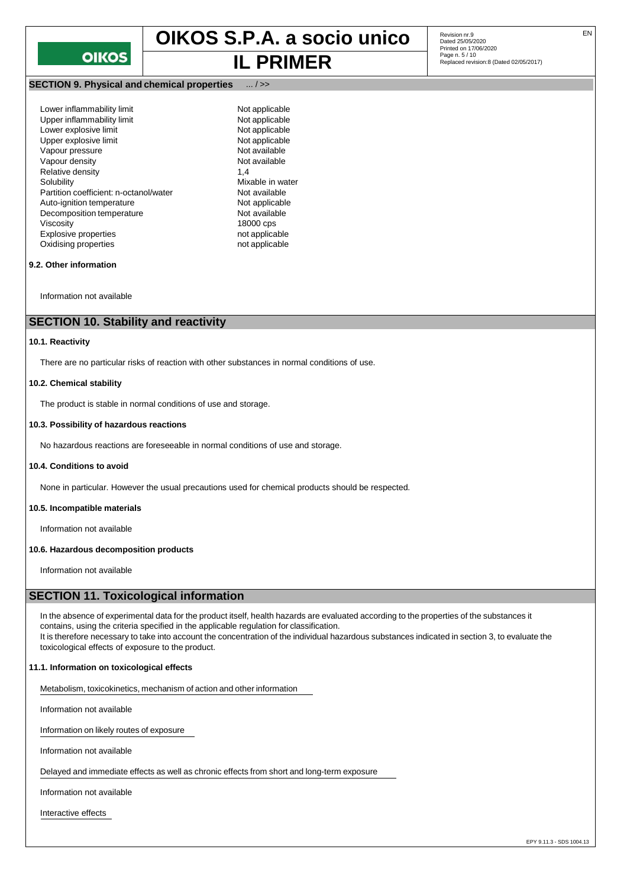

# **IL PRIMER** Replaced revision:8 (Dated 02/05/2017)

**SECTION 9. Physical and chemical properties** ... / >>

Lower inflammability limit<br>
Upper inflammability limit<br>
Not applicable<br>
Not applicable Upper inflammability limit<br>
Lower explosive limit<br>
Not applicable Lower explosive limit Upper explosive limit<br>
Vapour pressure<br>
Vapour pressure Vapour pressure and the Not available<br>Vapour density and the Not available<br>Not available Vapour density Relative density 1,4<br>Solubility 1,4 Partition coefficient: n-octanol/water **Not available**<br>
Auto-ignition temperature<br>
Not applicable Auto-ignition temperature Not applicable<br>Decomposition temperature Not available Decomposition temperature Viscosity 18000 cps<br>
Explosive properties example and the mot applicable<br>
intervals and the mot applicable Explosive properties Oxidising properties not applicable

Mixable in water<br>Not available

Revision nr.9<br>Dated 25/05/2020 Printed on 17/06/2020 Page n. 5 / 10

# **9.2. Other information**

Information not available

# **SECTION 10. Stability and reactivity**

#### **10.1. Reactivity**

There are no particular risks of reaction with other substances in normal conditions of use.

#### **10.2. Chemical stability**

The product is stable in normal conditions of use and storage.

#### **10.3. Possibility of hazardous reactions**

No hazardous reactions are foreseeable in normal conditions of use and storage.

#### **10.4. Conditions to avoid**

None in particular. However the usual precautions used for chemical products should be respected.

#### **10.5. Incompatible materials**

Information not available

#### **10.6. Hazardous decomposition products**

Information not available

# **SECTION 11. Toxicological information**

In the absence of experimental data for the product itself, health hazards are evaluated according to the properties of the substances it contains, using the criteria specified in the applicable regulation for classification. It is therefore necessary to take into account the concentration of the individual hazardous substances indicated in section 3, to evaluate the toxicological effects of exposure to the product.

#### **11.1. Information on toxicological effects**

Metabolism, toxicokinetics, mechanism of action and other information

Information not available

Information on likely routes of exposure

Information not available

Delayed and immediate effects as well as chronic effects from short and long-term exposure

Information not available

Interactive effects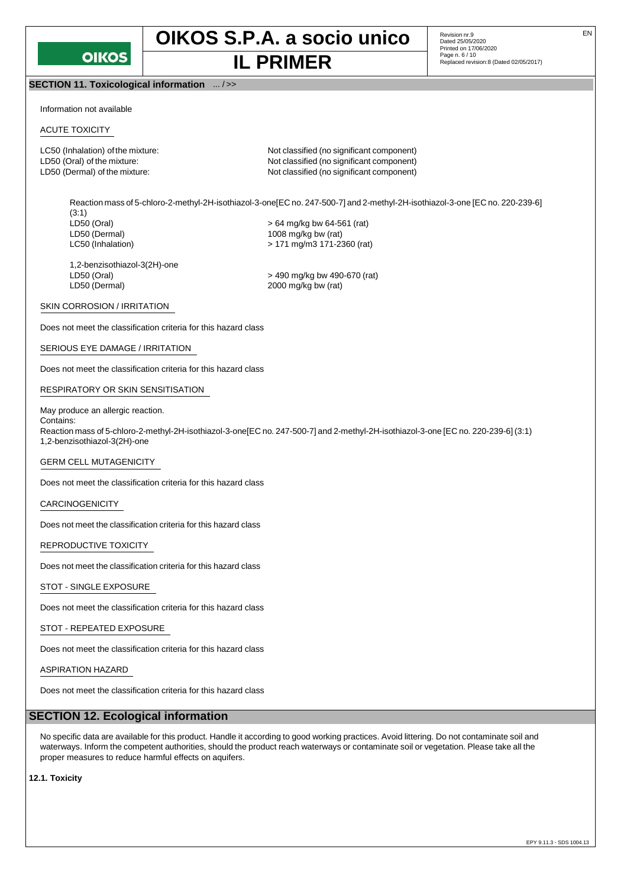

# **OIKOS S.P.A. a socio unico** Revision nr.9 **IL PRIMER** Replaced revision:8 (Dated 02/05/2017)

Revision nr.9<br>Dated 25/05/2020 Printed on 17/06/2020 Page n. 6 / 10

# **SECTION 11. Toxicological information** ... / >>

Information not available

# ACUTE TOXICITY

LC50 (Inhalation) of the mixture: Not classified (no significant component) LD50 (Oral) of the mixture:  $\blacksquare$  Not classified (no significant component) LD50 (Dermal) of the mixture:  $\blacksquare$  Not classified (no significant component)

Reaction mass of 5-chloro-2-methyl-2H-isothiazol-3-one[EC no. 247-500-7] and 2-methyl-2H-isothiazol-3-one [EC no. 220-239-6] (3:1)<br>LD50 (Oral)  $>64$  mg/kg bw 64-561 (rat) LD50 (Dermal) 1008 mg/kg bw (rat) LC50 (Inhalation) > 171 mg/m3 171-2360 (rat)

1,2-benzisothiazol-3(2H)-one

LD50 (Oral) > 490 mg/kg bw 490-670 (rat)  $2000$  mg/kg bw (rat)

#### SKIN CORROSION / IRRITATION

Does not meet the classification criteria for this hazard class

#### SERIOUS EYE DAMAGE / IRRITATION

Does not meet the classification criteria for this hazard class

#### RESPIRATORY OR SKIN SENSITISATION

#### May produce an allergic reaction. Contains:

Reaction mass of 5-chloro-2-methyl-2H-isothiazol-3-one[EC no. 247-500-7] and 2-methyl-2H-isothiazol-3-one [EC no. 220-239-6] (3:1) 1,2-benzisothiazol-3(2H)-one

#### GERM CELL MUTAGENICITY

Does not meet the classification criteria for this hazard class

#### CARCINOGENICITY

Does not meet the classification criteria for this hazard class

#### REPRODUCTIVE TOXICITY

Does not meet the classification criteria for this hazard class

#### STOT - SINGLE EXPOSURE

Does not meet the classification criteria for this hazard class

# STOT - REPEATED EXPOSURE

Does not meet the classification criteria for this hazard class

#### ASPIRATION HAZARD

Does not meet the classification criteria for this hazard class

## **SECTION 12. Ecological information**

No specific data are available for this product. Handle it according to good working practices. Avoid littering. Do not contaminate soil and waterways. Inform the competent authorities, should the product reach waterways or contaminate soil or vegetation. Please take all the proper measures to reduce harmful effects on aquifers.

**12.1. Toxicity**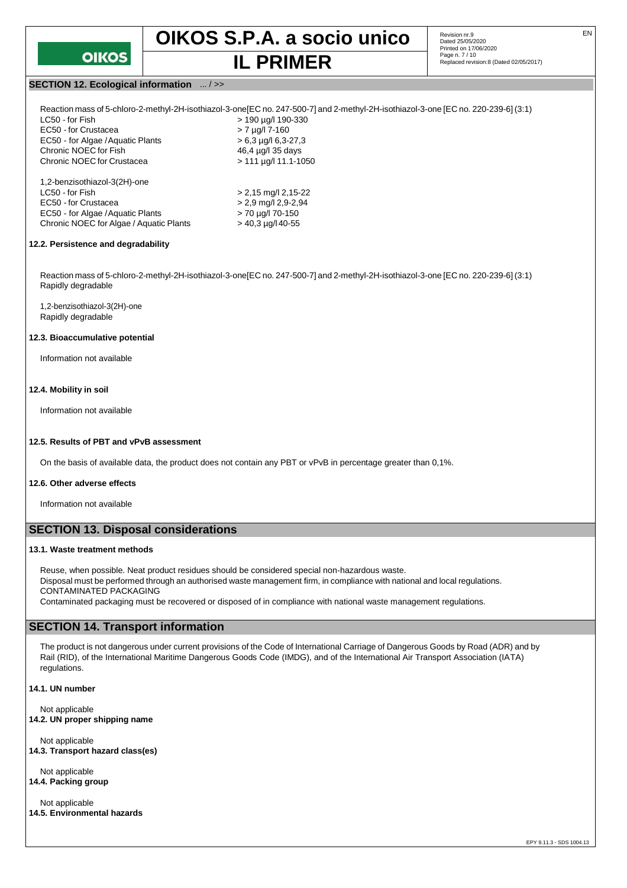

Revision nr.9<br>Dated 25/05/2020 Printed on 17/06/2020 Page n. 7 / 10 **IL PRIMER** Replaced revision:8 (Dated 02/05/2017)

### **SECTION 12. Ecological information** ... / >>

| LC50 - for Fish                         | > 190 µg/l 190-330          |
|-----------------------------------------|-----------------------------|
| EC50 - for Crustacea                    | $> 7$ µg/l 7-160            |
| EC50 - for Algae / Aquatic Plants       | $> 6.3$ µg/l 6.3-27.3       |
| Chronic NOEC for Fish                   | 46.4 µg/l 35 days           |
| Chronic NOEC for Crustacea              | $> 111 \mu q/l 11.1 - 1050$ |
| 1,2-benzisothiazol-3(2H)-one            |                             |
| LC50 - for Fish                         | $> 2,15$ mg/l 2,15-22       |
| EC50 - for Crustacea                    | $> 2.9$ mg/l 2,9-2,94       |
| EC50 - for Algae / Aquatic Plants       | > 70 µg/l 70-150            |
| Chronic NOEC for Algae / Aquatic Plants | $>$ 40,3 µg/l 40-55         |

#### **12.2. Persistence and degradability**

Reaction mass of 5-chloro-2-methyl-2H-isothiazol-3-one[EC no. 247-500-7] and 2-methyl-2H-isothiazol-3-one [EC no. 220-239-6] (3:1) Rapidly degradable

1,2-benzisothiazol-3(2H)-one Rapidly degradable

#### **12.3. Bioaccumulative potential**

Information not available

#### **12.4. Mobility in soil**

Information not available

#### **12.5. Results of PBT and vPvB assessment**

On the basis of available data, the product does not contain any PBT or vPvB in percentage greater than 0,1%.

#### **12.6. Other adverse effects**

Information not available

# **SECTION 13. Disposal considerations**

#### **13.1. Waste treatment methods**

Reuse, when possible. Neat product residues should be considered special non-hazardous waste. Disposal must be performed through an authorised waste management firm, in compliance with national and local regulations. CONTAMINATED PACKAGING Contaminated packaging must be recovered or disposed of in compliance with national waste management regulations.

# **SECTION 14. Transport information**

The product is not dangerous under current provisions of the Code of International Carriage of Dangerous Goods by Road (ADR) and by Rail (RID), of the International Maritime Dangerous Goods Code (IMDG), and of the International Air Transport Association (IATA) regulations.

**14.1. UN number**

Not applicable **14.2. UN proper shipping name**

Not applicable **14.3. Transport hazard class(es)**

Not applicable **14.4. Packing group**

Not applicable **14.5. Environmental hazards**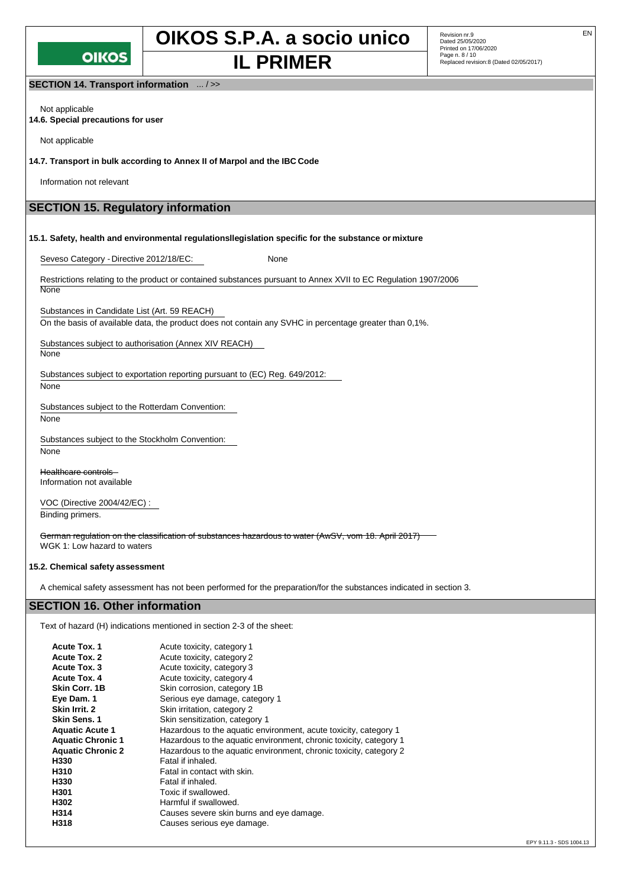

**OIKOS S.P.A. a socio unico** Revision nr.9 **IL PRIMER** Replaced revision:8 (Dated 02/05/2017)

Revision nr.9<br>Dated 25/05/2020 Printed on 17/06/2020 Page n. 8 / 10

**SECTION 14. Transport information** ... / >>

Not applicable **14.6. Special precautions for user**

Not applicable

**14.7. Transport in bulk according to Annex II of Marpol and the IBC Code**

Information not relevant

# **SECTION 15. Regulatory information**

**15.1. Safety, health and environmental regulationsllegislation specific for the substance or mixture**

Seveso Category - Directive 2012/18/EC: None

Restrictions relating to the product or contained substances pursuant to Annex XVII to EC Regulation 1907/2006 **None** 

Substances in Candidate List (Art. 59 REACH)

On the basis of available data, the product does not contain any SVHC in percentage greater than 0,1%.

Substances subject to authorisation (Annex XIV REACH)

None

Substances subject to exportation reporting pursuant to (EC) Reg. 649/2012:

None

Substances subject to the Rotterdam Convention:

None

Substances subject to the Stockholm Convention:

None

Healthcare controls Information not available

VOC (Directive 2004/42/EC) : Binding primers.

German regulation on the classification of substances hazardous to water (AwSV, vom 18. April 2017) WGK 1: Low hazard to waters

## **15.2. Chemical safety assessment**

A chemical safety assessment has not been performed for the preparation/for the substances indicated in section 3.

# **SECTION 16. Other information**

Text of hazard (H) indications mentioned in section 2-3 of the sheet:

| <b>Acute Tox. 1</b>      | Acute toxicity, category 1                                         |
|--------------------------|--------------------------------------------------------------------|
| <b>Acute Tox. 2</b>      | Acute toxicity, category 2                                         |
| Acute Tox. 3             | Acute toxicity, category 3                                         |
| <b>Acute Tox. 4</b>      | Acute toxicity, category 4                                         |
| Skin Corr. 1B            | Skin corrosion, category 1B                                        |
| Eye Dam. 1               | Serious eye damage, category 1                                     |
| Skin Irrit. 2            | Skin irritation, category 2                                        |
| <b>Skin Sens. 1</b>      | Skin sensitization, category 1                                     |
| <b>Aquatic Acute 1</b>   | Hazardous to the aquatic environment, acute toxicity, category 1   |
| <b>Aquatic Chronic 1</b> | Hazardous to the aquatic environment, chronic toxicity, category 1 |
| <b>Aquatic Chronic 2</b> | Hazardous to the aquatic environment, chronic toxicity, category 2 |
| H330                     | Fatal if inhaled.                                                  |
| H310                     | Fatal in contact with skin.                                        |
| H330                     | Fatal if inhaled.                                                  |
| H301                     | Toxic if swallowed.                                                |
| H302                     | Harmful if swallowed.                                              |
| H314                     | Causes severe skin burns and eye damage.                           |
| H318                     | Causes serious eye damage.                                         |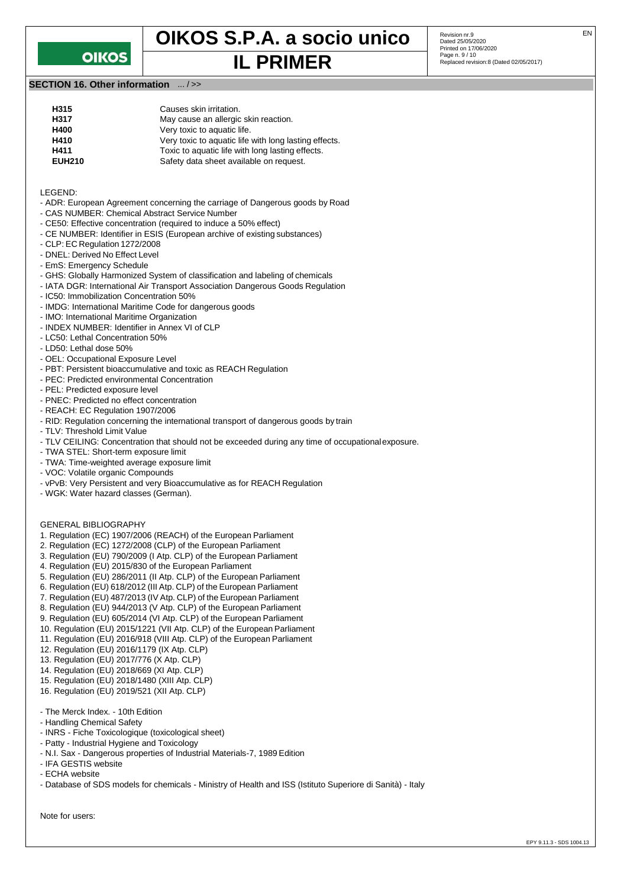

# **OIKOS S.P.A. a socio unico** Revision nr.9 **IL PRIMER**

Revision nr.9<br>Dated 25/05/2020 Printed on 17/06/2020 Page n. 9 / 10<br>Replaced revision:8 (Dated 02/05/2017)

# **SECTION 16. Other information** ... / >>

| H315          | Causes skin irritation.                               |
|---------------|-------------------------------------------------------|
| H317          | May cause an allergic skin reaction.                  |
| H400          | Very toxic to aquatic life.                           |
| H410          | Very toxic to aquatic life with long lasting effects. |
| H411          | Toxic to aquatic life with long lasting effects.      |
| <b>EUH210</b> | Safety data sheet available on request.               |
|               |                                                       |

LEGEND:

- ADR: European Agreement concerning the carriage of Dangerous goods by Road
- CAS NUMBER: Chemical Abstract Service Number
- CE50: Effective concentration (required to induce a 50% effect)
- CE NUMBER: Identifier in ESIS (European archive of existing substances)
- CLP: EC Regulation 1272/2008
- DNEL: Derived No Effect Level
- EmS: Emergency Schedule
- GHS: Globally Harmonized System of classification and labeling of chemicals
- IATA DGR: International Air Transport Association Dangerous Goods Regulation
- IC50: Immobilization Concentration 50%
- IMDG: International Maritime Code for dangerous goods
- IMO: International Maritime Organization
- INDEX NUMBER: Identifier in Annex VI of CLP
- LC50: Lethal Concentration 50%
- LD50: Lethal dose 50%
- OEL: Occupational Exposure Level
- PBT: Persistent bioaccumulative and toxic as REACH Regulation
- PEC: Predicted environmental Concentration
- PEL: Predicted exposure level
- PNEC: Predicted no effect concentration
- REACH: EC Regulation 1907/2006
- RID: Regulation concerning the international transport of dangerous goods by train
- TLV: Threshold Limit Value
- TLV CEILING: Concentration that should not be exceeded during any time of occupationalexposure.
- TWA STEL: Short-term exposure limit
- TWA: Time-weighted average exposure limit
- VOC: Volatile organic Compounds
- vPvB: Very Persistent and very Bioaccumulative as for REACH Regulation
- WGK: Water hazard classes (German).

#### GENERAL BIBLIOGRAPHY

- 1. Regulation (EC) 1907/2006 (REACH) of the European Parliament
- 2. Regulation (EC) 1272/2008 (CLP) of the European Parliament
- 3. Regulation (EU) 790/2009 (I Atp. CLP) of the European Parliament
- 4. Regulation (EU) 2015/830 of the European Parliament
- 5. Regulation (EU) 286/2011 (II Atp. CLP) of the European Parliament
- 6. Regulation (EU) 618/2012 (III Atp. CLP) of the European Parliament
- 7. Regulation (EU) 487/2013 (IV Atp. CLP) of the European Parliament
- 8. Regulation (EU) 944/2013 (V Atp. CLP) of the European Parliament
- 9. Regulation (EU) 605/2014 (VI Atp. CLP) of the European Parliament
- 10. Regulation (EU) 2015/1221 (VII Atp. CLP) of the European Parliament
- 11. Regulation (EU) 2016/918 (VIII Atp. CLP) of the European Parliament
- 12. Regulation (EU) 2016/1179 (IX Atp. CLP)
- 13. Regulation (EU) 2017/776 (X Atp. CLP)
- 14. Regulation (EU) 2018/669 (XI Atp. CLP)
- 15. Regulation (EU) 2018/1480 (XIII Atp. CLP)
- 16. Regulation (EU) 2019/521 (XII Atp. CLP)
- The Merck Index. 10th Edition
- Handling Chemical Safety
- INRS Fiche Toxicologique (toxicological sheet)
- Patty Industrial Hygiene and Toxicology
- N.I. Sax Dangerous properties of Industrial Materials-7, 1989 Edition
- IFA GESTIS website
- ECHA website
- Database of SDS models for chemicals Ministry of Health and ISS (Istituto Superiore di Sanità) Italy